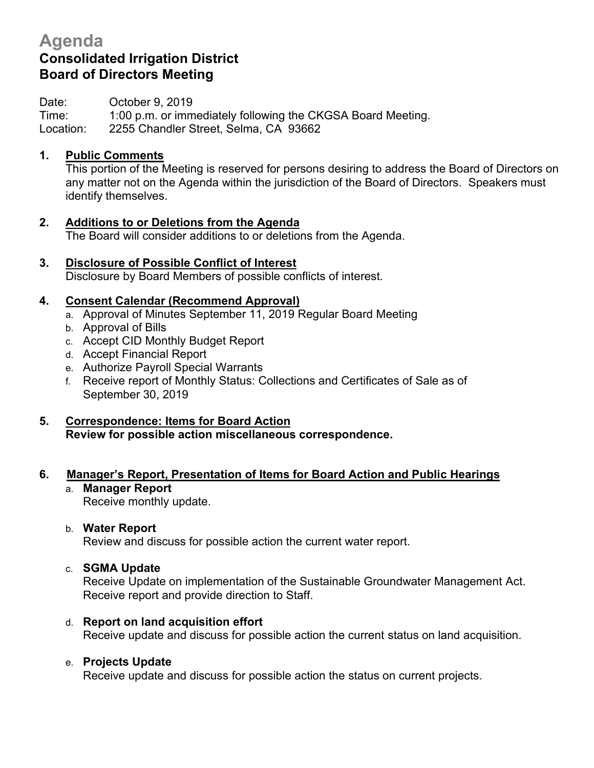# **Agenda Consolidated Irrigation District Board of Directors Meeting**

Date: **October 9, 2019** 

Time: 1:00 p.m. or immediately following the CKGSA Board Meeting. Location: 2255 Chandler Street, Selma, CA 93662

## **1. Public Comments**

This portion of the Meeting is reserved for persons desiring to address the Board of Directors on any matter not on the Agenda within the jurisdiction of the Board of Directors. Speakers must identify themselves.

- **2. Additions to or Deletions from the Agenda** The Board will consider additions to or deletions from the Agenda.
- **3. Disclosure of Possible Conflict of Interest** Disclosure by Board Members of possible conflicts of interest.

# **4. Consent Calendar (Recommend Approval)**

- a. Approval of Minutes September 11, 2019 Regular Board Meeting
- b. Approval of Bills
- c. Accept CID Monthly Budget Report
- d. Accept Financial Report
- e. Authorize Payroll Special Warrants
- f. Receive report of Monthly Status: Collections and Certificates of Sale as of September 30, 2019
- **5. Correspondence: Items for Board Action Review for possible action miscellaneous correspondence.**

# **6. Manager's Report, Presentation of Items for Board Action and Public Hearings**

a. **Manager Report** Receive monthly update.

#### b. **Water Report**

Review and discuss for possible action the current water report.

#### c. **SGMA Update**

Receive Update on implementation of the Sustainable Groundwater Management Act. Receive report and provide direction to Staff.

d. **Report on land acquisition effort** Receive update and discuss for possible action the current status on land acquisition.

## e. **Projects Update**

Receive update and discuss for possible action the status on current projects.